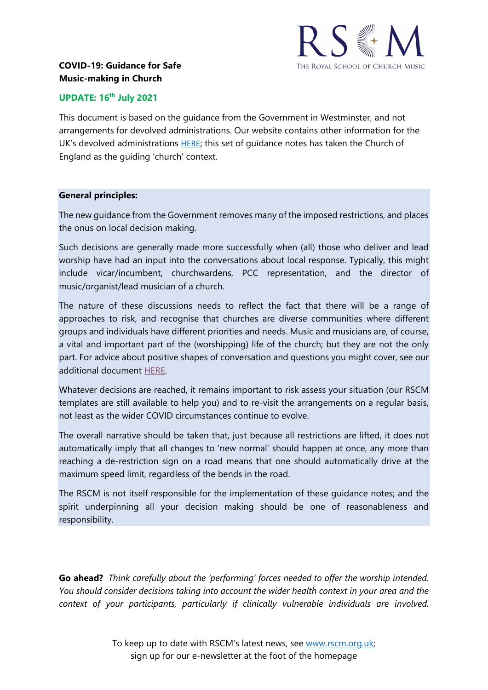

## **UPDATE: 16th July 2021**

This document is based on the guidance from the Government in Westminster, and not arrangements for devolved administrations. Our website contains other information for the UK's devolved administrations [HERE](https://www.rscm.org.uk/covid-19-resources-for-churches/); this set of guidance notes has taken the Church of England as the guiding 'church' context.

### **General principles:**

The new guidance from the Government removes many of the imposed restrictions, and places the onus on local decision making.

Such decisions are generally made more successfully when (all) those who deliver and lead worship have had an input into the conversations about local response. Typically, this might include vicar/incumbent, churchwardens, PCC representation, and the director of music/organist/lead musician of a church.

The nature of these discussions needs to reflect the fact that there will be a range of approaches to risk, and recognise that churches are diverse communities where different groups and individuals have different priorities and needs. Music and musicians are, of course, a vital and important part of the (worshipping) life of the church; but they are not the only part. For advice about positive shapes of conversation and questions you might cover, see our additional document [HERE.](#page-4-0)

Whatever decisions are reached, it remains important to risk assess your situation (our RSCM templates are still available to help you) and to re-visit the arrangements on a regular basis, not least as the wider COVID circumstances continue to evolve.

The overall narrative should be taken that, just because all restrictions are lifted, it does not automatically imply that all changes to 'new normal' should happen at once, any more than reaching a de-restriction sign on a road means that one should automatically drive at the maximum speed limit, regardless of the bends in the road.

The RSCM is not itself responsible for the implementation of these guidance notes; and the spirit underpinning all your decision making should be one of reasonableness and responsibility.

**Go ahead?** *Think carefully about the 'performing' forces needed to offer the worship intended. You should consider decisions taking into account the wider health context in your area and the context of your participants, particularly if clinically vulnerable individuals are involved.*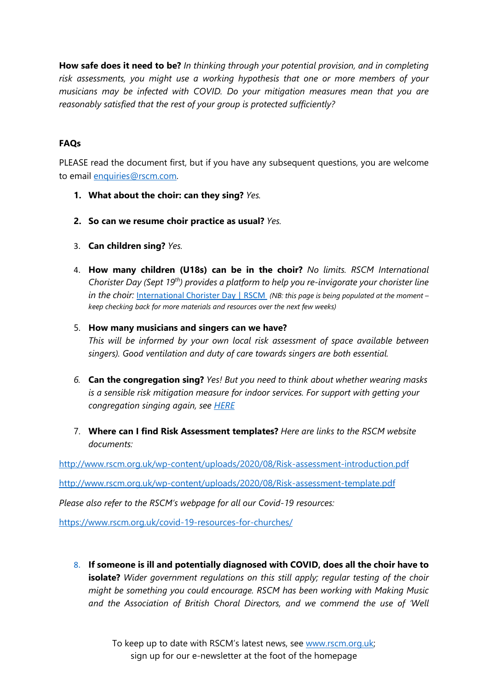**How safe does it need to be?** *In thinking through your potential provision, and in completing risk assessments, you might use a working hypothesis that one or more members of your musicians may be infected with COVID. Do your mitigation measures mean that you are reasonably satisfied that the rest of your group is protected sufficiently?*

## **FAQs**

PLEASE read the document first, but if you have any subsequent questions, you are welcome to email [enquiries@rscm.com.](mailto:enquiries@rscm.com)

- **1. What about the choir: can they sing?** *Yes.*
- **2. So can we resume choir practice as usual?** *Yes.*
- 3. **Can children sing?** *Yes.*
- 4. **How many children (U18s) can be in the choir?** *No limits. RSCM International Chorister Day (Sept 19th) provides a platform to help you re-invigorate your chorister line in the choir: [International Chorister Day | RSCM](https://www.rscm.org.uk/get-involved/international-chorister-day/?highlight=international%20chorister) (NB: this page is being populated at the moment – keep checking back for more materials and resources over the next few weeks)*

### 5. **How many musicians and singers can we have?**

*This will be informed by your own local risk assessment of space available between singers). Good ventilation and duty of care towards singers are both essential.* 

- *6.* **Can the congregation sing?** *Yes! But you need to think about whether wearing masks is a sensible risk mitigation measure for indoor services. For support with getting your congregation singing again, see [HERE](https://sway.office.com/tdKGj4CuIHaTu4OF?ref=Link)*
- 7. **Where can I find Risk Assessment templates?** *Here are links to the RSCM website documents:*

<http://www.rscm.org.uk/wp-content/uploads/2020/08/Risk-assessment-introduction.pdf>

<http://www.rscm.org.uk/wp-content/uploads/2020/08/Risk-assessment-template.pdf>

*Please also refer to the RSCM's webpage for all our Covid-19 resources:* 

<https://www.rscm.org.uk/covid-19-resources-for-churches/>

8. **If someone is ill and potentially diagnosed with COVID, does all the choir have to isolate?** *Wider government regulations on this still apply; regular testing of the choir might be something you could encourage. RSCM has been working with Making Music and the Association of British Choral Directors, and we commend the use of 'Well*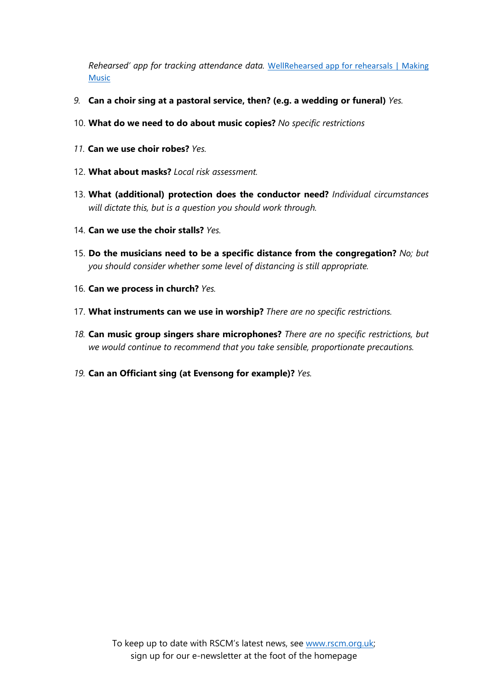*Rehearsed' app for tracking attendance data.* [WellRehearsed app for rehearsals | Making](https://www.makingmusic.org.uk/resource/wellrehearsed-app-covid-19#:%7E:text=WellRehearsed%20is%20a%20free%20and%20anonymous%20rehearsal%20Covid-19,of%20British%20Choral%20Directors%20%28abcd%29%20and%20Making%20Music.)  [Music](https://www.makingmusic.org.uk/resource/wellrehearsed-app-covid-19#:%7E:text=WellRehearsed%20is%20a%20free%20and%20anonymous%20rehearsal%20Covid-19,of%20British%20Choral%20Directors%20%28abcd%29%20and%20Making%20Music.)

- *9.* **Can a choir sing at a pastoral service, then? (e.g. a wedding or funeral)** *Yes.*
- 10. **What do we need to do about music copies?** *No specific restrictions*
- *11.* **Can we use choir robes?** *Yes.*
- 12. **What about masks?** *Local risk assessment.*
- 13. **What (additional) protection does the conductor need?** *Individual circumstances will dictate this, but is a question you should work through.*
- 14. **Can we use the choir stalls?** *Yes.*
- 15. **Do the musicians need to be a specific distance from the congregation?** *No; but you should consider whether some level of distancing is still appropriate.*
- 16. **Can we process in church?** *Yes.*
- 17. **What instruments can we use in worship?** *There are no specific restrictions.*
- *18.* **Can music group singers share microphones?** *There are no specific restrictions, but we would continue to recommend that you take sensible, proportionate precautions.*
- *19.* **Can an Officiant sing (at Evensong for example)?** *Yes.*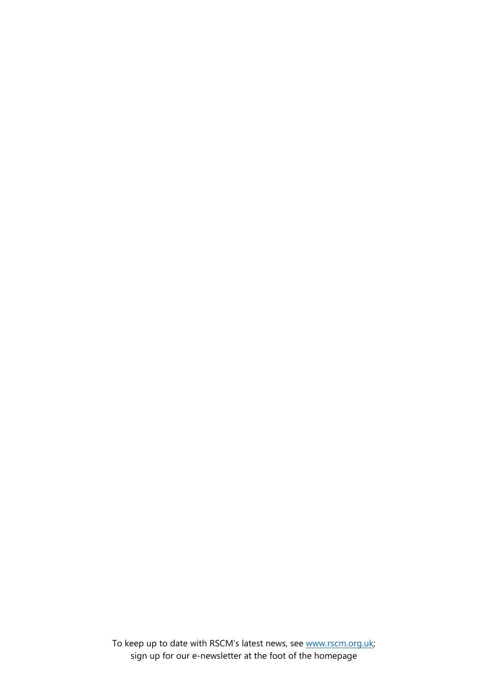To keep up to date with RSCM's latest news, see [www.rscm.org.uk;](http://www.rscm.org.uk/) sign up for our e-newsletter at the foot of the homepage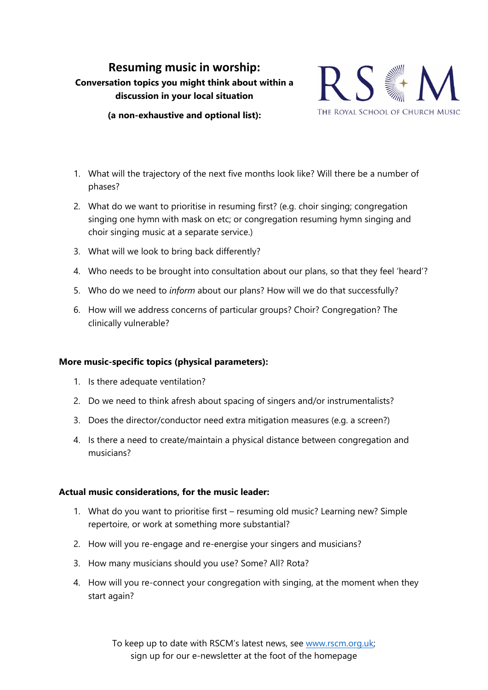# <span id="page-4-0"></span>**Resuming music in worship: Conversation topics you might think about within a discussion in your local situation**



**(a non-exhaustive and optional list):**

- 1. What will the trajectory of the next five months look like? Will there be a number of phases?
- 2. What do we want to prioritise in resuming first? (e.g. choir singing; congregation singing one hymn with mask on etc; or congregation resuming hymn singing and choir singing music at a separate service.)
- 3. What will we look to bring back differently?
- 4. Who needs to be brought into consultation about our plans, so that they feel 'heard'?
- 5. Who do we need to *inform* about our plans? How will we do that successfully?
- 6. How will we address concerns of particular groups? Choir? Congregation? The clinically vulnerable?

### **More music-specific topics (physical parameters):**

- 1. Is there adequate ventilation?
- 2. Do we need to think afresh about spacing of singers and/or instrumentalists?
- 3. Does the director/conductor need extra mitigation measures (e.g. a screen?)
- 4. Is there a need to create/maintain a physical distance between congregation and musicians?

### **Actual music considerations, for the music leader:**

- 1. What do you want to prioritise first resuming old music? Learning new? Simple repertoire, or work at something more substantial?
- 2. How will you re-engage and re-energise your singers and musicians?
- 3. How many musicians should you use? Some? All? Rota?
- 4. How will you re-connect your congregation with singing, at the moment when they start again?